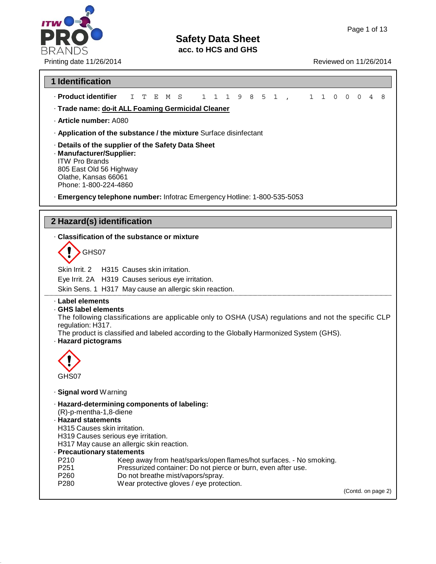# **ITW** P **BRANDS**

# **Safety Data Sheet**

**acc. to HCS and GHS**

Printing date 11/26/2014 **Reviewed on 11/26/2014** 

| <b>1 Identification</b>                                                                                                                                                                                                                                                                |        |
|----------------------------------------------------------------------------------------------------------------------------------------------------------------------------------------------------------------------------------------------------------------------------------------|--------|
| · Product identifier                                                                                                                                                                                                                                                                   |        |
| Т<br>- S<br>$\mathbf{1}$<br>$\mathbf{1}$<br>$\mathbf{1}$<br>9 8 5 1<br>$\begin{array}{ccc} \cdot & 1 & 1 \end{array}$<br>$\mathbf 0$<br>$\overline{0}$<br>$\mathbf 0$<br>T.<br>Е<br>M<br>· Trade name: do-it ALL Foaming Germicidal Cleaner                                            | 4<br>8 |
| · Article number: A080                                                                                                                                                                                                                                                                 |        |
| . Application of the substance / the mixture Surface disinfectant                                                                                                                                                                                                                      |        |
| · Details of the supplier of the Safety Data Sheet<br>· Manufacturer/Supplier:<br><b>ITW Pro Brands</b><br>805 East Old 56 Highway<br>Olathe, Kansas 66061<br>Phone: 1-800-224-4860                                                                                                    |        |
| - Emergency telephone number: Infotrac Emergency Hotline: 1-800-535-5053                                                                                                                                                                                                               |        |
| 2 Hazard(s) identification                                                                                                                                                                                                                                                             |        |
| . Classification of the substance or mixture                                                                                                                                                                                                                                           |        |
| GHS07                                                                                                                                                                                                                                                                                  |        |
| Skin Irrit. 2<br>H315 Causes skin irritation.<br>Eye Irrit. 2A H319 Causes serious eye irritation.<br>Skin Sens. 1 H317 May cause an allergic skin reaction.                                                                                                                           |        |
| · Label elements<br>GHS label elements<br>The following classifications are applicable only to OSHA (USA) regulations and not the specific CLP<br>regulation: H317.<br>The product is classified and labeled according to the Globally Harmonized System (GHS).<br>· Hazard pictograms |        |
| GHS07                                                                                                                                                                                                                                                                                  |        |
| · Signal word Warning                                                                                                                                                                                                                                                                  |        |
| · Hazard-determining components of labeling:<br>(R)-p-mentha-1,8-diene<br>· Hazard statements<br>H315 Causes skin irritation.<br>H319 Causes serious eye irritation.<br>H317 May cause an allergic skin reaction.<br>· Precautionary statements                                        |        |
| P210<br>Keep away from heat/sparks/open flames/hot surfaces. - No smoking.<br>P251<br>Pressurized container: Do not pierce or burn, even after use.<br>Do not breathe mist/vapors/spray.<br>P260                                                                                       |        |
| P280<br>Wear protective gloves / eye protection.<br>(Contd. on page 2)                                                                                                                                                                                                                 |        |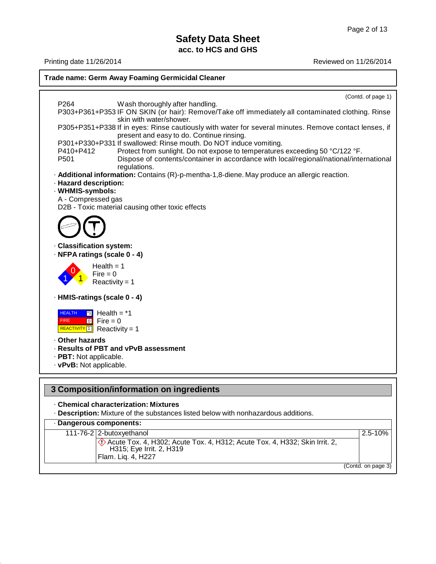Printing date 11/26/2014 Reviewed on 11/26/2014 **Trade name: Germ Away Foaming Germicidal Cleaner** P264 Wash thoroughly after handling. (Contd. of page 1) P303+P361+P353 IF ON SKIN (or hair): Remove/Take off immediately all contaminated clothing. Rinse skin with water/shower. P305+P351+P338 If in eyes: Rinse cautiously with water for several minutes. Remove contact lenses, if present and easy to do. Continue rinsing. P301+P330+P331 If swallowed: Rinse mouth. Do NOT induce vomiting. P410+P412 Protect from sunlight. Do not expose to temperatures exceeding 50 °C/122 °F.<br>P501 Dispose of contents/container in accordance with local/regional/national/inte Dispose of contents/container in accordance with local/regional/national/international regulations. · **Additional information:** Contains (R)-p-mentha-1,8-diene. May produce an allergic reaction. · **Hazard description:** · **WHMIS-symbols:** A - Compressed gas D2B - Toxic material causing other toxic effects · **Classification system:** · **NFPA ratings (scale 0 - 4)**  $Health = 1$  $Fire = 0$  $Reactivity = 1$ · **HMIS-ratings (scale 0 - 4) HEALTH** FIRE  $\overline{11}$  Health = \*1  $\boxed{0}$  Fire = 0  $REACTIVITY 1$  Reactivity = 1 · **Other hazards** · **Results of PBT and vPvB assessment** · **PBT:** Not applicable. · **vPvB:** Not applicable. **3 Composition/information on ingredients** · **Chemical characterization: Mixtures** · **Description:** Mixture of the substances listed below with nonhazardous additions. · **Dangerous components:**

111-76-2 2-butoxyethanol 2.5-10%  $\langle$ .) Acute Tox. 4, H302; Acute Tox. 4, H312; Acute Tox. 4, H332; Skin Irrit. 2, H315; Eye Irrit. 2, H319 Flam. Liq. 4, H227

(Contd. on page 3)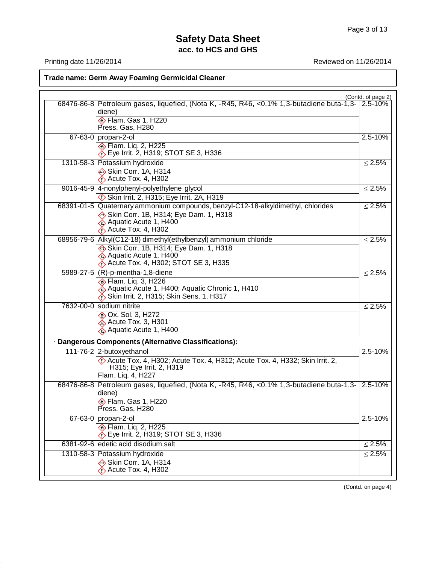Printing date 11/26/2014 **Reviewed on 11/26/2014** 

**Trade name: Germ Away Foaming Germicidal Cleaner**

|                                                                                                                                                                                       | (Contd. of page 2) |
|---------------------------------------------------------------------------------------------------------------------------------------------------------------------------------------|--------------------|
| 68476-86-8 Petroleum gases, liquefied, (Nota K, -R45, R46, <0.1% 1,3-butadiene buta-1,3-<br>diene)                                                                                    | 2.5-10%            |
| <b>Elam. Gas 1, H220</b><br>Press. Gas, H280                                                                                                                                          |                    |
| 67-63-0 propan-2-ol                                                                                                                                                                   | 2.5-10%            |
| <b>Elam.</b> Liq. 2, H225<br>$\langle \cdot \rangle$ Eye Irrit. 2, H319; STOT SE 3, H336                                                                                              |                    |
| 1310-58-3 Potassium hydroxide                                                                                                                                                         | $\leq 2.5\%$       |
| Skin Corr. 1A, H314<br>$\bigotimes$ Acute Tox. 4, H302                                                                                                                                |                    |
| 9016-45-9 4-nonylphenyl-polyethylene glycol                                                                                                                                           | $\leq 2.5\%$       |
| $\Diamond$ Skin Irrit. 2, H315; Eye Irrit. 2A, H319                                                                                                                                   |                    |
| 68391-01-5 Quaternary ammonium compounds, benzyl-C12-18-alkyldimethyl, chlorides<br>Skin Corr. 1B, H314; Eye Dam. 1, H318<br>Aquatic Acute 1, H400<br>$\bigotimes$ Acute Tox. 4, H302 | $\leq 2.5\%$       |
| 68956-79-6 Alkyl(C12-18) dimethyl(ethylbenzyl) ammonium chloride                                                                                                                      | $\leq 2.5\%$       |
| Skin Corr. 1B, H314; Eye Dam. 1, H318<br>♦ Aquatic Acute 1, H400<br>$\bigwedge$ Acute Tox. 4, H302; STOT SE 3, H335                                                                   |                    |
| 5989-27-5 (R)-p-mentha-1,8-diene                                                                                                                                                      | $\leq 2.5\%$       |
| <b>Elam.</b> Liq. 3, H226<br>Aquatic Acute 1, H400; Aquatic Chronic 1, H410<br>Skin Irrit. 2, H315; Skin Sens. 1, H317                                                                |                    |
| 7632-00-0 sodium nitrite                                                                                                                                                              | $≤ 2.5%$           |
| <b>&amp; Ox. Sol. 3, H272</b><br>$\&$ Acute Tox. 3, H301<br>Aquatic Acute 1, H400                                                                                                     |                    |
| · Dangerous Components (Alternative Classifications):                                                                                                                                 |                    |
| 111-76-2 2-butoxyethanol                                                                                                                                                              | 2.5-10%            |
| Acute Tox. 4, H302; Acute Tox. 4, H312; Acute Tox. 4, H332; Skin Irrit. 2,<br>H315; Eye Irrit. 2, H319<br>Flam. Liq. 4, H227                                                          |                    |
| 68476-86-8 Petroleum gases, liquefied, (Nota K, -R45, R46, <0.1% 1,3-butadiene buta-1,3-<br>diene)                                                                                    | $2.5 - 10%$        |
| <b>Elam.</b> Gas 1, H220<br>Press. Gas, H280                                                                                                                                          |                    |
| 67-63-0 propan-2-ol                                                                                                                                                                   | 2.5-10%            |
| <b>Elam.</b> Liq. 2, H225<br>$\lozenge$ Eye Irrit. 2, H319; STOT SE 3, H336                                                                                                           |                    |
| 6381-92-6 edetic acid disodium salt                                                                                                                                                   | $\leq 2.5\%$       |
| 1310-58-3 Potassium hydroxide                                                                                                                                                         | $\leq 2.5\%$       |
| Skin Corr. 1A, H314<br>$\bigotimes$ Acute Tox. 4, H302                                                                                                                                |                    |

(Contd. on page 4)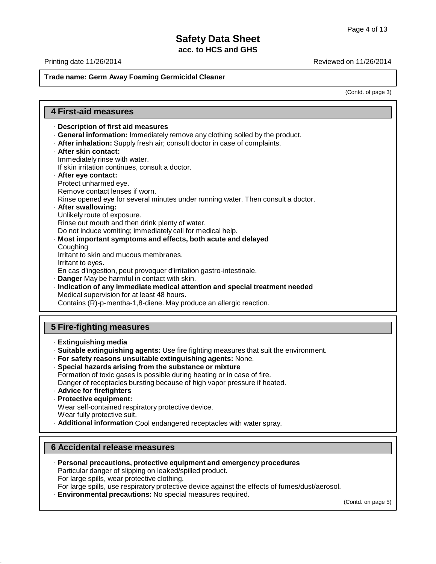Printing date 11/26/2014 Reviewed on 11/26/2014

## **Trade name: Germ Away Foaming Germicidal Cleaner**

(Contd. of page 3)

| <b>4 First-aid measures</b>                                                                                                                                                                                                                                                                                                                                                                                                                                                                                                                                                                                                                                                                                                                                                                                                                                                                                                                                                                                                                                                                                                          |
|--------------------------------------------------------------------------------------------------------------------------------------------------------------------------------------------------------------------------------------------------------------------------------------------------------------------------------------------------------------------------------------------------------------------------------------------------------------------------------------------------------------------------------------------------------------------------------------------------------------------------------------------------------------------------------------------------------------------------------------------------------------------------------------------------------------------------------------------------------------------------------------------------------------------------------------------------------------------------------------------------------------------------------------------------------------------------------------------------------------------------------------|
| · Description of first aid measures<br>. General information: Immediately remove any clothing soiled by the product.<br>. After inhalation: Supply fresh air; consult doctor in case of complaints.<br>· After skin contact:<br>Immediately rinse with water.<br>If skin irritation continues, consult a doctor.<br>- After eye contact:<br>Protect unharmed eye.<br>Remove contact lenses if worn.<br>Rinse opened eye for several minutes under running water. Then consult a doctor.<br>- After swallowing:<br>Unlikely route of exposure.<br>Rinse out mouth and then drink plenty of water.<br>Do not induce vomiting; immediately call for medical help.<br>Most important symptoms and effects, both acute and delayed<br>Coughing<br>Irritant to skin and mucous membranes.<br>Irritant to eyes.<br>En cas d'ingestion, peut provoquer d'irritation gastro-intestinale.<br>. Danger May be harmful in contact with skin.<br>· Indication of any immediate medical attention and special treatment needed<br>Medical supervision for at least 48 hours.<br>Contains (R)-p-mentha-1,8-diene. May produce an allergic reaction. |
| 5 Fire-fighting measures                                                                                                                                                                                                                                                                                                                                                                                                                                                                                                                                                                                                                                                                                                                                                                                                                                                                                                                                                                                                                                                                                                             |
| · Extinguishing media<br>· Suitable extinguishing agents: Use fire fighting measures that suit the environment.<br>· For safety reasons unsuitable extinguishing agents: None.<br>· Special hazards arising from the substance or mixture<br>Formation of toxic gases is possible during heating or in case of fire.<br>Danger of receptacles bursting because of high vapor pressure if heated.<br>· Advice for firefighters                                                                                                                                                                                                                                                                                                                                                                                                                                                                                                                                                                                                                                                                                                        |

· **Protective equipment:** Wear self-contained respiratory protective device. Wear fully protective suit.

# · **Additional information** Cool endangered receptacles with water spray.

# **6 Accidental release measures**

· **Personal precautions, protective equipment and emergency procedures** Particular danger of slipping on leaked/spilled product. For large spills, wear protective clothing. For large spills, use respiratory protective device against the effects of fumes/dust/aerosol. · **Environmental precautions:** No special measures required.

(Contd. on page 5)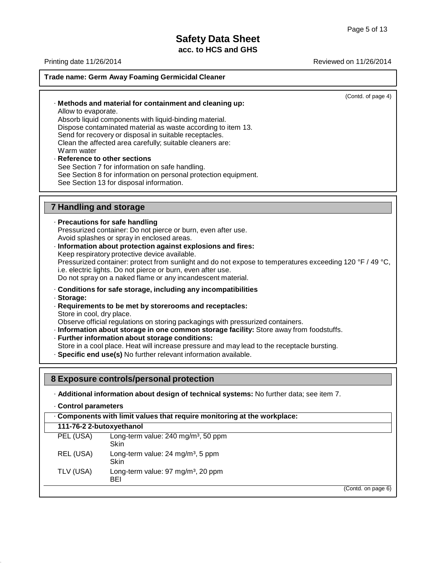Printing date 11/26/2014 Reviewed on 11/26/2014 **Trade name: Germ Away Foaming Germicidal Cleaner** · **Methods and material for containment and cleaning up:** Allow to evaporate. Absorb liquid components with liquid-binding material. Dispose contaminated material as waste according to item 13. Send for recovery or disposal in suitable receptacles. Clean the affected area carefully; suitable cleaners are: Warm water · **Reference to other sections** See Section 7 for information on safe handling. See Section 8 for information on personal protection equipment. See Section 13 for disposal information. (Contd. of page 4) **7 Handling and storage** · **Precautions for safe handling** Pressurized container: Do not pierce or burn, even after use. Avoid splashes or spray in enclosed areas. · **Information about protection against explosions and fires:** Keep respiratory protective device available. Pressurized container: protect from sunlight and do not expose to temperatures exceeding 120 °F / 49 °C, i.e. electric lights. Do not pierce or burn, even after use. Do not spray on a naked flame or any incandescent material. · **Conditions for safe storage, including any incompatibilities** · **Storage:** · **Requirements to be met by storerooms and receptacles:** Store in cool, dry place. Observe official regulations on storing packagings with pressurized containers. · **Information about storage in one common storage facility:** Store away from foodstuffs. · **Further information about storage conditions:** Store in a cool place. Heat will increase pressure and may lead to the receptacle bursting. · **Specific end use(s)** No further relevant information available. **8 Exposure controls/personal protection** · **Additional information about design of technical systems:** No further data; see item 7. · **Control parameters** · **Components with limit values that require monitoring at the workplace: 111-76-2 2-butoxyethanol** PEL (USA) REL (USA) TLV (USA) Long-term value:  $240$  mg/m<sup>3</sup>, 50 ppm Skin Long-term value: 24 mg/m<sup>3</sup>, 5 ppm **Skin** Long-term value: 97 mg/m<sup>3</sup>, 20 ppm BEI (Contd. on page 6)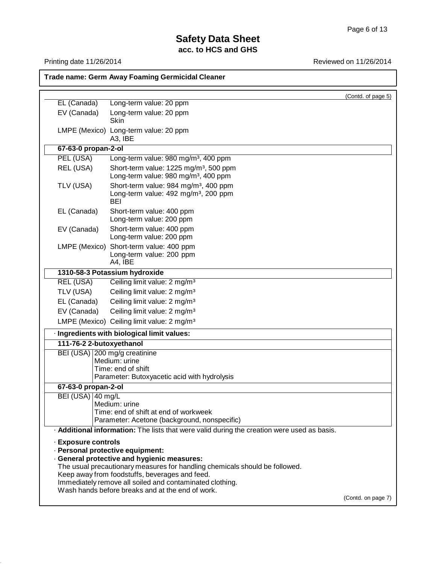**Trade name: Germ Away Foaming Germicidal Cleaner**

Printing date 11/26/2014 **Reviewed on 11/26/2014** 

|                              |                                                                                                                                             | (Contd. of page 5) |
|------------------------------|---------------------------------------------------------------------------------------------------------------------------------------------|--------------------|
| EL (Canada)                  | Long-term value: 20 ppm                                                                                                                     |                    |
| EV (Canada)                  | Long-term value: 20 ppm<br><b>Skin</b>                                                                                                      |                    |
|                              | LMPE (Mexico) Long-term value: 20 ppm<br>A3, IBE                                                                                            |                    |
| 67-63-0 propan-2-ol          |                                                                                                                                             |                    |
| PEL (USA)                    | Long-term value: 980 mg/m <sup>3</sup> , 400 ppm                                                                                            |                    |
| REL (USA)                    | Short-term value: 1225 mg/m <sup>3</sup> , 500 ppm<br>Long-term value: 980 mg/m <sup>3</sup> , 400 ppm                                      |                    |
| TLV (USA)                    | Short-term value: 984 mg/m <sup>3</sup> , 400 ppm<br>Long-term value: 492 mg/m <sup>3</sup> , 200 ppm<br><b>BEI</b>                         |                    |
| EL (Canada)                  | Short-term value: 400 ppm<br>Long-term value: 200 ppm                                                                                       |                    |
| EV (Canada)                  | Short-term value: 400 ppm<br>Long-term value: 200 ppm                                                                                       |                    |
| LMPE (Mexico)                | Short-term value: 400 ppm<br>Long-term value: 200 ppm<br>A4, IBE                                                                            |                    |
|                              | 1310-58-3 Potassium hydroxide                                                                                                               |                    |
| <b>REL (USA)</b>             | Ceiling limit value: 2 mg/m <sup>3</sup>                                                                                                    |                    |
| TLV (USA)                    | Ceiling limit value: 2 mg/m <sup>3</sup>                                                                                                    |                    |
| EL (Canada)                  | Ceiling limit value: 2 mg/m <sup>3</sup>                                                                                                    |                    |
| EV (Canada)                  | Ceiling limit value: 2 mg/m <sup>3</sup>                                                                                                    |                    |
|                              | LMPE (Mexico) Ceiling limit value: 2 mg/m <sup>3</sup>                                                                                      |                    |
|                              | · Ingredients with biological limit values:                                                                                                 |                    |
| 111-76-2 2-butoxyethanol     |                                                                                                                                             |                    |
|                              | BEI (USA) 200 mg/g creatinine                                                                                                               |                    |
|                              | Medium: urine                                                                                                                               |                    |
|                              | Time: end of shift<br>Parameter: Butoxyacetic acid with hydrolysis                                                                          |                    |
| 67-63-0 propan-2-ol          |                                                                                                                                             |                    |
| BEI (USA) $ 40 \text{ mg/L}$ |                                                                                                                                             |                    |
|                              | Medium: urine                                                                                                                               |                    |
|                              | Time: end of shift at end of workweek                                                                                                       |                    |
|                              | Parameter: Acetone (background, nonspecific)<br>. Additional information: The lists that were valid during the creation were used as basis. |                    |
|                              |                                                                                                                                             |                    |
| · Exposure controls          | · Personal protective equipment:                                                                                                            |                    |
|                              | · General protective and hygienic measures:                                                                                                 |                    |
|                              | The usual precautionary measures for handling chemicals should be followed.                                                                 |                    |
|                              | Keep away from foodstuffs, beverages and feed.                                                                                              |                    |
|                              | Immediately remove all soiled and contaminated clothing.<br>Wash hands before breaks and at the end of work.                                |                    |
|                              |                                                                                                                                             | (Contd. on page 7) |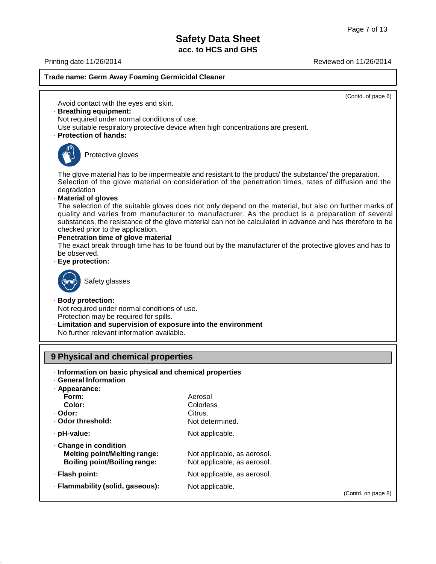Printing date 11/26/2014 Reviewed on 11/26/2014

## **Trade name: Germ Away Foaming Germicidal Cleaner**

(Contd. of page 6)

(Contd. on page 8)

Avoid contact with the eyes and skin.

#### · **Breathing equipment:**

Not required under normal conditions of use.

Use suitable respiratory protective device when high concentrations are present.

· **Protection of hands:**



Protective gloves

The glove material has to be impermeable and resistant to the product/ the substance/ the preparation. Selection of the glove material on consideration of the penetration times, rates of diffusion and the degradation

· **Material of gloves**

The selection of the suitable gloves does not only depend on the material, but also on further marks of quality and varies from manufacturer to manufacturer. As the product is a preparation of several substances, the resistance of the glove material can not be calculated in advance and has therefore to be checked prior to the application.

#### · **Penetration time of glove material**

The exact break through time has to be found out by the manufacturer of the protective gloves and has to be observed.

· **Eye protection:**



Safety glasses

#### · **Body protection:**

Not required under normal conditions of use. Protection may be required for spills.

· **Limitation and supervision of exposure into the environment** No further relevant information available.

## **9 Physical and chemical properties**

- · **Information on basic physical and chemical properties**
- · **General Information**

| · Appearance:                                                                                             |                                                            |
|-----------------------------------------------------------------------------------------------------------|------------------------------------------------------------|
| Form:                                                                                                     | Aerosol                                                    |
| Color:                                                                                                    | Colorless                                                  |
| · Odor:                                                                                                   | Citrus.                                                    |
| . Odor threshold:                                                                                         | Not determined.                                            |
| · pH-value:                                                                                               | Not applicable.                                            |
| $\cdot$ Change in condition<br><b>Melting point/Melting range:</b><br><b>Boiling point/Boiling range:</b> | Not applicable, as aerosol.<br>Not applicable, as aerosol. |
| · Flash point:                                                                                            | Not applicable, as aerosol.                                |
| · Flammability (solid, gaseous):                                                                          | Not applicable.                                            |
|                                                                                                           |                                                            |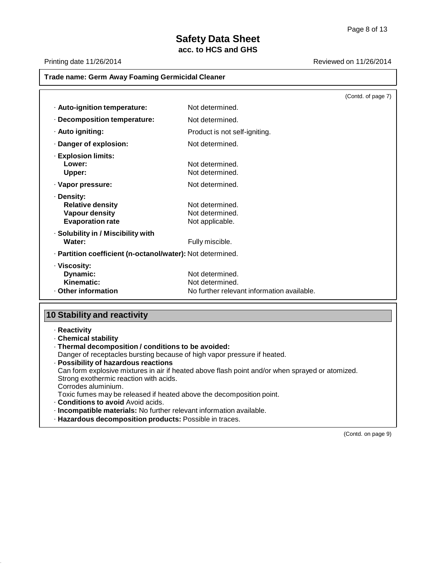Printing date 11/26/2014 Reviewed on 11/26/2014

| <b>Trade name: Germ Away Foaming Germicidal Cleaner</b>                                   |                                                                                  |                    |
|-------------------------------------------------------------------------------------------|----------------------------------------------------------------------------------|--------------------|
|                                                                                           |                                                                                  | (Contd. of page 7) |
| · Auto-ignition temperature:                                                              | Not determined.                                                                  |                    |
| · Decomposition temperature:                                                              | Not determined.                                                                  |                    |
| · Auto igniting:                                                                          | Product is not self-igniting.                                                    |                    |
| · Danger of explosion:                                                                    | Not determined.                                                                  |                    |
| · Explosion limits:<br>Lower:<br>Upper:                                                   | Not determined.<br>Not determined.                                               |                    |
| · Vapor pressure:                                                                         | Not determined.                                                                  |                    |
| · Density:<br><b>Relative density</b><br><b>Vapour density</b><br><b>Evaporation rate</b> | Not determined.<br>Not determined.<br>Not applicable.                            |                    |
| · Solubility in / Miscibility with<br>Water:                                              | Fully miscible.                                                                  |                    |
| · Partition coefficient (n-octanol/water): Not determined.                                |                                                                                  |                    |
| · Viscosity:<br>Dynamic:<br>Kinematic:<br>Other information                               | Not determined.<br>Not determined.<br>No further relevant information available. |                    |
| <b>10 Stability and reactivity</b><br>· Reactivity                                        |                                                                                  |                    |

- · **Chemical stability**
- · **Thermal decomposition / conditions to be avoided:**

Danger of receptacles bursting because of high vapor pressure if heated.

· **Possibility of hazardous reactions** Can form explosive mixtures in air if heated above flash point and/or when sprayed or atomized. Strong exothermic reaction with acids. Corrodes aluminium. Toxic fumes may be released if heated above the decomposition point. · **Conditions to avoid** Avoid acids. · **Incompatible materials:** No further relevant information available. · **Hazardous decomposition products:** Possible in traces.

(Contd. on page 9)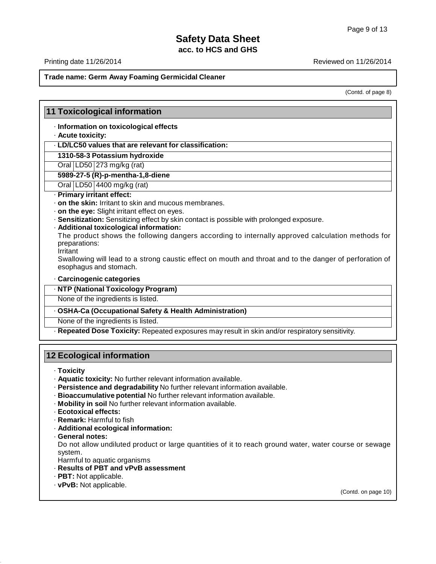Printing date 11/26/2014 Reviewed on 11/26/2014

## **Trade name: Germ Away Foaming Germicidal Cleaner**

(Contd. of page 8)

## **11 Toxicological information**

· **Information on toxicological effects**

#### · **Acute toxicity:**

· **LD/LC50 values that are relevant for classification:**

**1310-58-3 Potassium hydroxide**

Oral LD50 273 mg/kg (rat)

**5989-27-5 (R)-p-mentha-1,8-diene**

Oral LD50 4400 mg/kg (rat)

#### · **Primary irritant effect:**

- · **on the skin:** Irritant to skin and mucous membranes.
- · **on the eye:** Slight irritant effect on eyes.
- · **Sensitization:** Sensitizing effect by skin contact is possible with prolonged exposure.
- · **Additional toxicological information:**

The product shows the following dangers according to internally approved calculation methods for preparations:

**Irritant** 

Swallowing will lead to a strong caustic effect on mouth and throat and to the danger of perforation of esophagus and stomach.

- · **Carcinogenic categories**
- · **NTP (National Toxicology Program)**

None of the ingredients is listed.

#### · **OSHA-Ca (Occupational Safety & Health Administration)**

None of the ingredients is listed.

· **Repeated Dose Toxicity:** Repeated exposures may result in skin and/or respiratory sensitivity.

## **12 Ecological information**

· **Toxicity**

- · **Aquatic toxicity:** No further relevant information available.
- · **Persistence and degradability** No further relevant information available.
- · **Bioaccumulative potential** No further relevant information available.
- · **Mobility in soil** No further relevant information available.
- · **Ecotoxical effects:**
- · **Remark:** Harmful to fish
- · **Additional ecological information:**
- · **General notes:**

Do not allow undiluted product or large quantities of it to reach ground water, water course or sewage system.

- Harmful to aquatic organisms
- · **Results of PBT and vPvB assessment**
- · **PBT:** Not applicable.
- · **vPvB:** Not applicable.

(Contd. on page 10)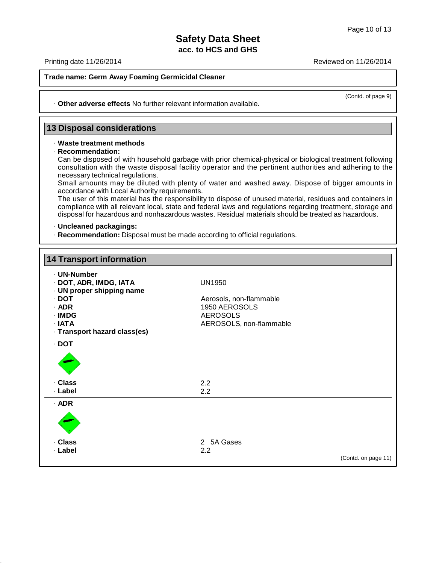Printing date 11/26/2014 Reviewed on 11/26/2014

#### **Trade name: Germ Away Foaming Germicidal Cleaner**

(Contd. of page 9)

· **Other adverse effects** No further relevant information available.

#### **13 Disposal considerations**

#### · **Waste treatment methods**

· **Recommendation:**

Can be disposed of with household garbage with prior chemical-physical or biological treatment following consultation with the waste disposal facility operator and the pertinent authorities and adhering to the necessary technical regulations.

Small amounts may be diluted with plenty of water and washed away. Dispose of bigger amounts in accordance with Local Authority requirements.

The user of this material has the responsibility to dispose of unused material, residues and containers in compliance with all relevant local, state and federal laws and regulations regarding treatment, storage and disposal for hazardous and nonhazardous wastes. Residual materials should be treated as hazardous.

#### · **Uncleaned packagings:**

· **Recommendation:** Disposal must be made according to official regulations.

| <b>14 Transport information</b>                                                                                                                  |                                                                                                         |                     |
|--------------------------------------------------------------------------------------------------------------------------------------------------|---------------------------------------------------------------------------------------------------------|---------------------|
| · UN-Number<br>· DOT, ADR, IMDG, IATA<br>· UN proper shipping name<br>$\cdot$ DOT<br>$·$ ADR<br>· IMDG<br>· IATA<br>· Transport hazard class(es) | <b>UN1950</b><br>Aerosols, non-flammable<br>1950 AEROSOLS<br><b>AEROSOLS</b><br>AEROSOLS, non-flammable |                     |
| $\cdot$ DOT                                                                                                                                      |                                                                                                         |                     |
| · Class<br>· Label                                                                                                                               | 2.2<br>2.2                                                                                              |                     |
| $·$ ADR                                                                                                                                          |                                                                                                         |                     |
| · Class<br>· Label                                                                                                                               | 2 5A Gases<br>2.2                                                                                       | (Contd. on page 11) |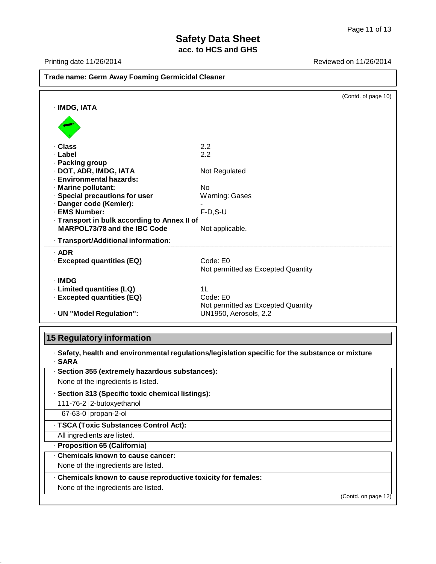Printing date 11/26/2014 **Reviewed on 11/26/2014** 

| <b>Trade name: Germ Away Foaming Germicidal Cleaner</b> |                                    |                     |
|---------------------------------------------------------|------------------------------------|---------------------|
|                                                         |                                    | (Contd. of page 10) |
| · IMDG, IATA                                            |                                    |                     |
|                                                         |                                    |                     |
| · Class                                                 | 2.2                                |                     |
| · Label                                                 | 2.2                                |                     |
| · Packing group                                         |                                    |                     |
| · DOT, ADR, IMDG, IATA                                  | Not Regulated                      |                     |
| · Environmental hazards:                                | No                                 |                     |
| · Marine pollutant:<br>· Special precautions for user   | Warning: Gases                     |                     |
| · Danger code (Kemler):                                 |                                    |                     |
| · EMS Number:                                           | $F-D, S-U$                         |                     |
| - Transport in bulk according to Annex II of            |                                    |                     |
| MARPOL73/78 and the IBC Code                            | Not applicable.                    |                     |
| · Transport/Additional information:                     |                                    |                     |
| $·$ ADR                                                 |                                    |                     |
| · Excepted quantities (EQ)                              | Code: E0                           |                     |
|                                                         | Not permitted as Excepted Quantity |                     |
| · IMDG                                                  |                                    |                     |
| · Limited quantities (LQ)                               | 1 <sub>L</sub>                     |                     |
| · Excepted quantities (EQ)                              | Code: E0                           |                     |
|                                                         | Not permitted as Excepted Quantity |                     |
| · UN "Model Regulation":                                | UN1950, Aerosols, 2.2              |                     |

# **15 Regulatory information**

· **Safety, health and environmental regulations/legislation specific for the substance or mixture** · **SARA**

| · Section 355 (extremely hazardous substances):               |                     |
|---------------------------------------------------------------|---------------------|
| None of the ingredients is listed.                            |                     |
| · Section 313 (Specific toxic chemical listings):             |                     |
| 111-76-2 2-butoxyethanol                                      |                     |
| 67-63-0 propan-2-ol                                           |                     |
| · TSCA (Toxic Substances Control Act):                        |                     |
| All ingredients are listed.                                   |                     |
| · Proposition 65 (California)                                 |                     |
| . Chemicals known to cause cancer:                            |                     |
| None of the ingredients are listed.                           |                     |
| . Chemicals known to cause reproductive toxicity for females: |                     |
| None of the ingredients are listed.                           |                     |
|                                                               | (Contd. on page 12) |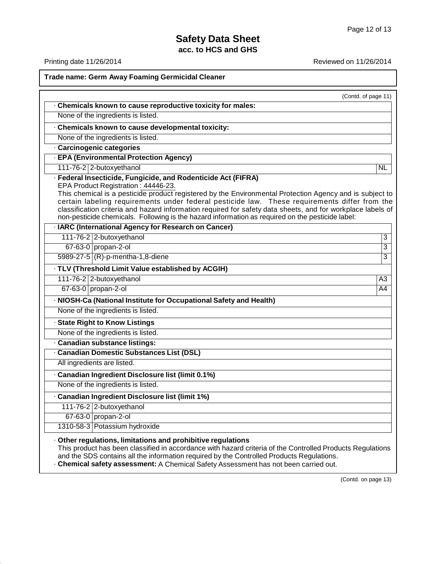Printing date 11/26/2014 **Reviewed on 11/26/2014** 

**Trade name: Germ Away Foaming Germicidal Cleaner**

|                                                                                                                                                                                                                                                                                                                                                                                                                                                                                                                                      | (Contd. of page 11) |
|--------------------------------------------------------------------------------------------------------------------------------------------------------------------------------------------------------------------------------------------------------------------------------------------------------------------------------------------------------------------------------------------------------------------------------------------------------------------------------------------------------------------------------------|---------------------|
| . Chemicals known to cause reproductive toxicity for males:                                                                                                                                                                                                                                                                                                                                                                                                                                                                          |                     |
| None of the ingredients is listed.                                                                                                                                                                                                                                                                                                                                                                                                                                                                                                   |                     |
| Chemicals known to cause developmental toxicity:                                                                                                                                                                                                                                                                                                                                                                                                                                                                                     |                     |
| None of the ingredients is listed.                                                                                                                                                                                                                                                                                                                                                                                                                                                                                                   |                     |
| · Carcinogenic categories                                                                                                                                                                                                                                                                                                                                                                                                                                                                                                            |                     |
| · EPA (Environmental Protection Agency)                                                                                                                                                                                                                                                                                                                                                                                                                                                                                              |                     |
| 111-76-2 2-butoxyethanol                                                                                                                                                                                                                                                                                                                                                                                                                                                                                                             | <b>NL</b>           |
| · Federal Insecticide, Fungicide, and Rodenticide Act (FIFRA)<br>EPA Product Registration: 44446-23.<br>This chemical is a pesticide product registered by the Environmental Protection Agency and is subject to<br>certain labeling requirements under federal pesticide law. These requirements differ from the<br>classification criteria and hazard information required for safety data sheets, and for workplace labels of<br>non-pesticide chemicals. Following is the hazard information as required on the pesticide label: |                     |
| · IARC (International Agency for Research on Cancer)                                                                                                                                                                                                                                                                                                                                                                                                                                                                                 |                     |
| 111-76-2 2-butoxyethanol                                                                                                                                                                                                                                                                                                                                                                                                                                                                                                             | 3                   |
| 67-63-0 propan-2-ol                                                                                                                                                                                                                                                                                                                                                                                                                                                                                                                  | 3                   |
| 5989-27-5 (R)-p-mentha-1,8-diene                                                                                                                                                                                                                                                                                                                                                                                                                                                                                                     | 3                   |
| · TLV (Threshold Limit Value established by ACGIH)                                                                                                                                                                                                                                                                                                                                                                                                                                                                                   |                     |
| 111-76-2 2-butoxyethanol                                                                                                                                                                                                                                                                                                                                                                                                                                                                                                             | $\overline{A3}$     |
| 67-63-0 propan-2-ol                                                                                                                                                                                                                                                                                                                                                                                                                                                                                                                  | A <sub>4</sub>      |
| · NIOSH-Ca (National Institute for Occupational Safety and Health)                                                                                                                                                                                                                                                                                                                                                                                                                                                                   |                     |
| None of the ingredients is listed.                                                                                                                                                                                                                                                                                                                                                                                                                                                                                                   |                     |
| · State Right to Know Listings                                                                                                                                                                                                                                                                                                                                                                                                                                                                                                       |                     |
| None of the ingredients is listed.                                                                                                                                                                                                                                                                                                                                                                                                                                                                                                   |                     |
| · Canadian substance listings:                                                                                                                                                                                                                                                                                                                                                                                                                                                                                                       |                     |
| · Canadian Domestic Substances List (DSL)                                                                                                                                                                                                                                                                                                                                                                                                                                                                                            |                     |
| All ingredients are listed.                                                                                                                                                                                                                                                                                                                                                                                                                                                                                                          |                     |
| · Canadian Ingredient Disclosure list (limit 0.1%)                                                                                                                                                                                                                                                                                                                                                                                                                                                                                   |                     |
| None of the ingredients is listed.                                                                                                                                                                                                                                                                                                                                                                                                                                                                                                   |                     |
| · Canadian Ingredient Disclosure list (limit 1%)                                                                                                                                                                                                                                                                                                                                                                                                                                                                                     |                     |
| 111-76-2 2-butoxyethanol                                                                                                                                                                                                                                                                                                                                                                                                                                                                                                             |                     |
| 67-63-0 propan-2-ol                                                                                                                                                                                                                                                                                                                                                                                                                                                                                                                  |                     |
| 1310-58-3 Potassium hydroxide                                                                                                                                                                                                                                                                                                                                                                                                                                                                                                        |                     |
| Other regulations, limitations and prohibitive regulations<br>This product has been classified in accordance with hazard criteria of the Controlled Products Regulations<br>and the SDS contains all the information required by the Controlled Products Regulations.<br>- Chemical safety assessment: A Chemical Safety Assessment has not been carried out.                                                                                                                                                                        |                     |

(Contd. on page 13)